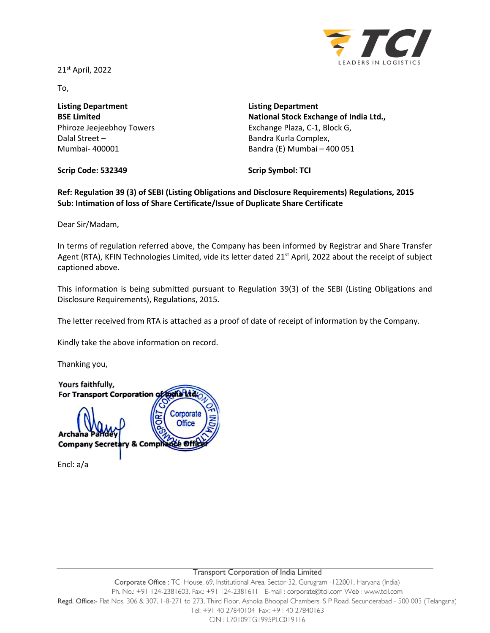21 st April, 2022



To,

**Listing Department BSE Limited** Phiroze Jeejeebhoy Towers Dalal Street – Mumbai- 400001

**Listing Department National Stock Exchange of India Ltd.,** Exchange Plaza, C-1, Block G, Bandra Kurla Complex, Bandra (E) Mumbai – 400 051

**Scrip Code: 532349**

**Scrip Symbol: TCI**

**Ref: Regulation 39 (3) of SEBI (Listing Obligations and Disclosure Requirements) Regulations, 2015 Sub: Intimation of loss of Share Certificate/Issue of Duplicate Share Certificate**

Dear Sir/Madam,

In terms of regulation referred above, the Company has been informed by Registrar and Share Transfer Agent (RTA), KFIN Technologies Limited, vide its letter dated 21<sup>st</sup> April, 2022 about the receipt of subject captioned above.

This information is being submitted pursuant to Regulation 39(3) of the SEBI (Listing Obligations and Disclosure Requirements), Regulations, 2015.

The letter received from RTA is attached as a proof of date of receipt of information by the Company.

Kindly take the above information on record.

Thanking you,

Yours faithfully, For Transport Corporation of todia Ltd Corporate **Office** Archana **Company Secret** y & Comph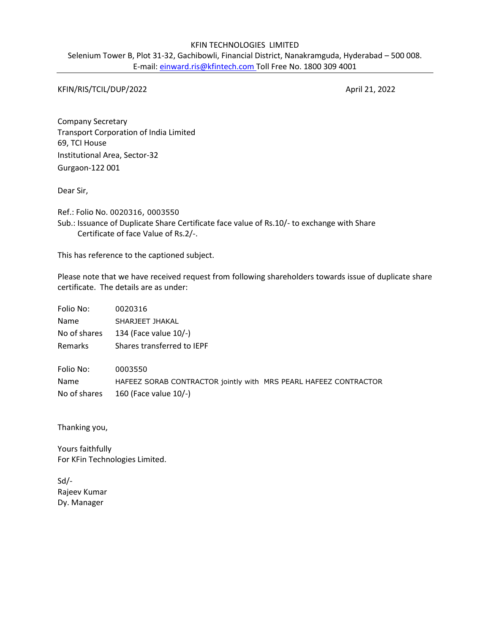## KFIN TECHNOLOGIES LIMITED

Selenium Tower B, Plot 31-32, Gachibowli, Financial District, Nanakramguda, Hyderabad – 500 008. E-mail: einward.ris@kfintech.com Toll Free No. 1800 309 4001

KFIN/RIS/TCIL/DUP/2022 April 21, 2022

Company Secretary Transport Corporation of India Limited 69, TCI House Institutional Area, Sector-32 Gurgaon-122 001

Dear Sir,

Ref.: Folio No. 0020316, 0003550 Sub.: Issuance of Duplicate Share Certificate face value of Rs.10/- to exchange with Share Certificate of face Value of Rs.2/-.

This has reference to the captioned subject.

Please note that we have received request from following shareholders towards issue of duplicate share certificate. The details are as under:

| Folio No:    | 0020316                                                          |
|--------------|------------------------------------------------------------------|
| Name         | SHARJEET JHAKAL                                                  |
| No of shares | 134 (Face value 10/-)                                            |
| Remarks      | Shares transferred to IEPF                                       |
| Folio No:    | 0003550                                                          |
| Name         | HAFEEZ SORAB CONTRACTOR jointly with MRS PEARL HAFEEZ CONTRACTOR |
| No of shares | 160 (Face value 10/-)                                            |

Thanking you,

Yours faithfully For KFin Technologies Limited.

Sd/- Rajeev Kumar Dy. Manager